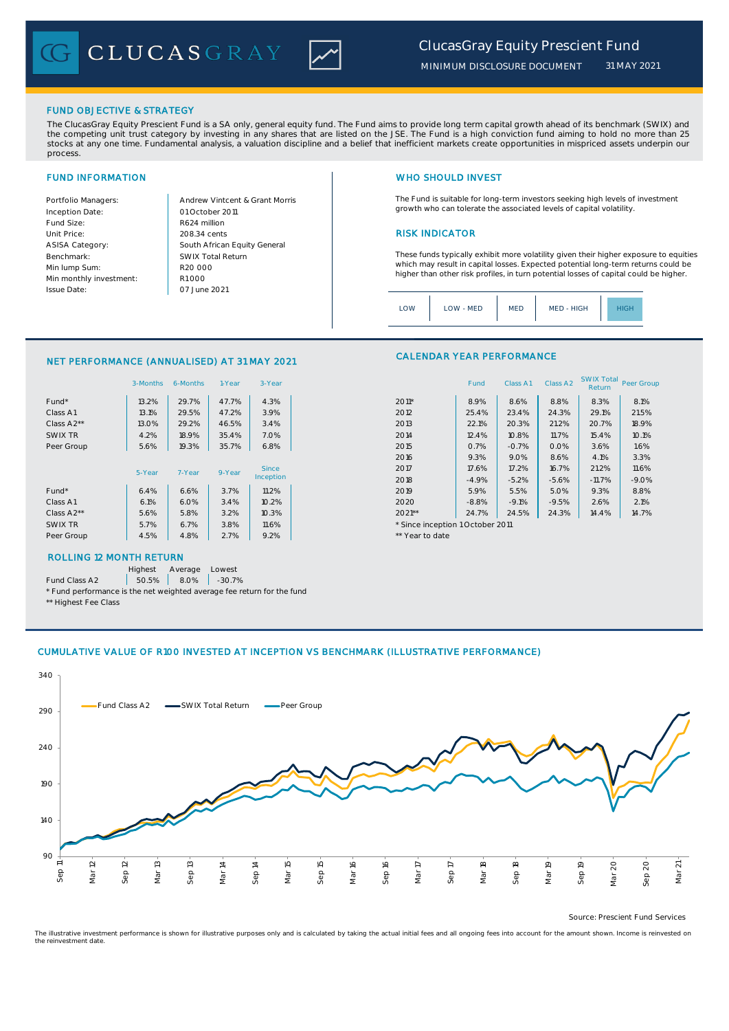CLUCASGRAY



FUND OBJECTIVE & STRATEGY

The ClucasGray Equity Prescient Fund is a SA only, general equity fund. The Fund aims to provide long term capital growth ahead of its benchmark (SWIX) and<br>the competing unit trust category by investing in any shares that stocks at any one time. Fundamental analysis, a valuation discipline and a belief that inefficient markets create opportunities in mispriced assets underpin our process.

Inception Date: Fund Size: R624 million ASISA Category: Benchmark: Min lump Sum: Min monthly investment: Issue Date:

Portfolio Managers: <br>Andrew Vintcent & Grant Morris Unit Price: 208.34 cents 208.34 cents South African Equity General 208.34 cents R1 000 01 October 2011 07 June 2021 R20 000 SWIX Total Return

# FUND INFORMATION NETWORK IN THE SERVICE OF THE SERVICE OF THE WHO SHOULD INVEST

The Fund is suitable for long-term investors seeking high levels of investment growth who can tolerate the associated levels of capital volatility.

These funds typically exhibit more volatility given their higher exposure to equities which may result in capital losses. Expected potential long-term returns could be higher than other risk profiles, in turn potential losses of capital could be higher.

Class A1 Class A2 SWIX Total Peer Group

| LOW | LOW - MED | <b>MED</b> | MED - HIGH | <b>IIGE</b> |
|-----|-----------|------------|------------|-------------|
|     |           |            |            |             |

CALENDAR YEAR PERFORMANCE

## NET PERFORMANCE (ANNUALISED) AT 31 MAY 2021

|            | 3-Months | 6-Months | 1-Year | 3-Year    |                                  | Fund    | Class A1 | Class A <sub>2</sub> | <b>SWIX Total</b><br>Return | Peer Gro |
|------------|----------|----------|--------|-----------|----------------------------------|---------|----------|----------------------|-----------------------------|----------|
| Fund*      | 13.2%    | 29.7%    | 47.7%  | 4.3%      | $2011*$                          | 8.9%    | 8.6%     | 8.8%                 | 8.3%                        | 8.1%     |
| Class A1   | 13.1%    | 29.5%    | 47.2%  | 3.9%      | 2012                             | 25.4%   | 23.4%    | 24.3%                | 29.1%                       | 21.5%    |
| Class A2** | 13.0%    | 29.2%    | 46.5%  | 3.4%      | 2013                             | 22.1%   | 20.3%    | 21.2%                | 20.7%                       | 18.9%    |
| SWIX TR    | 4.2%     | 18.9%    | 35.4%  | 7.0%      | 2014                             | 12.4%   | 10.8%    | 11.7%                | 15.4%                       | 10.1%    |
| Peer Group | 5.6%     | 19.3%    | 35.7%  | 6.8%      | 2015                             | 0.7%    | $-0.7%$  | 0.0%                 | 3.6%                        | 1.6%     |
|            |          |          |        |           | 2016                             | 9.3%    | 9.0%     | 8.6%                 | 4.1%                        | 3.3%     |
|            | 5-Year   | 7-Year   | 9-Year | Since     | 2017                             | 17.6%   | 17.2%    | 16.7%                | 21.2%                       | 11.6%    |
|            |          |          |        | Inception | 2018                             | $-4.9%$ | $-5.2%$  | $-5.6%$              | $-11.7%$                    | $-9.0%$  |
| Fund*      | 6.4%     | 6.6%     | 3.7%   | 11.2%     | 2019                             | 5.9%    | 5.5%     | 5.0%                 | 9.3%                        | 8.8%     |
| Class A1   | 6.1%     | 6.0%     | 3.4%   | 10.2%     | 2020                             | $-8.8%$ | $-9.1%$  | $-9.5%$              | 2.6%                        | 2.1%     |
| Class A2** | 5.6%     | 5.8%     | 3.2%   | 10.3%     | $2021**$                         | 24.7%   | 24.5%    | 24.3%                | 14.4%                       | 14.7%    |
| SWIX TR    | 5.7%     | 6.7%     | 3.8%   | 11.6%     | * Since inception 1 October 2011 |         |          |                      |                             |          |
| Peer Group | 4.5%     | 4.8%     | 2.7%   | 9.2%      | ** Year to date                  |         |          |                      |                             |          |
|            |          |          |        |           |                                  |         |          |                      |                             |          |

## ROLLING 12 MONTH RETURN

Highest Average Lowest

Fund Class A2  $\begin{array}{|c|c|c|c|c|} \hline \text{50.5\%} & \text{8.0\%} & \text{-30.7\%} \hline \end{array}$ 

\* Fund performance is the net weighted average fee return for the fund \*\* Highest Fee Class

| Highest Lee Class |  |
|-------------------|--|
|                   |  |

# CUMULATIVE VALUE OF R100 INVESTED AT INCEPTION VS BENCHMARK (ILLUSTRATIVE PERFORMANCE)



Source: Prescient Fund Services

The illustrative investment performance is shown for illustrative purposes only and is calculated by taking the actual initial fees and all ongoing fees into account for the amount shown. Income is reinvested on the reinvestment date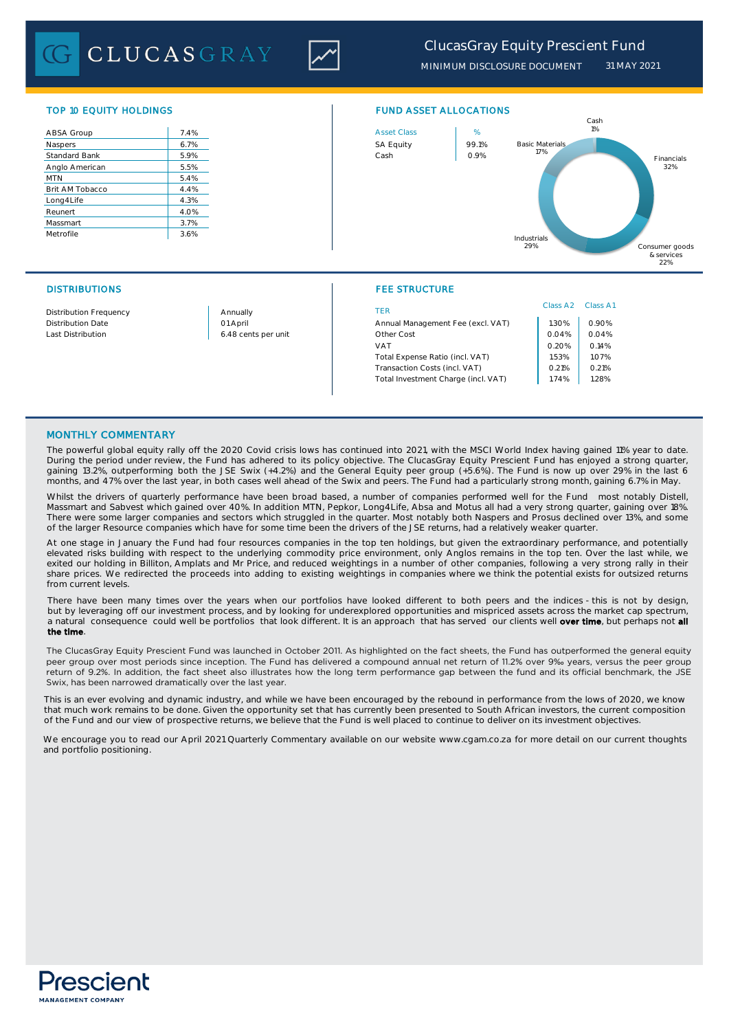**CLUCASGRAY** 



*MINIMUM DISCLOSURE DOCUMENT 31 MAY 2021*

| ABSA Group           | 7.4% |
|----------------------|------|
| Naspers              | 6.7% |
| <b>Standard Bank</b> | 5.9% |
| Anglo American       | 5.5% |
| <b>MTN</b>           | 5.4% |
| Brit AM Tobacco      | 4.4% |
| Long4Life            | 4.3% |
| Reunert              | 4.0% |
| Massmart             | 3.7% |
| Metrofile            | 3.6% |



## DISTRIBUTIONS FEE STRUCTURE

|                               |                     |                                     | Class A <sub>2</sub> | Class A |
|-------------------------------|---------------------|-------------------------------------|----------------------|---------|
| <b>Distribution Frequency</b> | Annually            | TFR                                 |                      |         |
| <b>Distribution Date</b>      | 01 April            | Annual Management Fee (excl. VAT)   | .30%                 | 0.90%   |
| Last Distribution             | 6.48 cents per unit | Other Cost                          | 0.04%<br>0.20%       | 0.04%   |
|                               |                     | VAT                                 |                      | 0.14%   |
|                               |                     | Total Expense Ratio (incl. VAT)     | .53%                 | 1.07%   |
|                               |                     | Transaction Costs (incl. VAT)       | 0.21%                | 0.21%   |
|                               |                     | Total Investment Charge (incl. VAT) | 1.74%                | 1.28%   |
|                               |                     |                                     |                      |         |

## MONTHLY COMMENTARY

The powerful global equity rally off the 2020 Covid crisis lows has continued into 2021, with the MSCI World Index having gained 11% year to date. During the period under review, the Fund has adhered to its policy objective. The ClucasGray Equity Prescient Fund has enjoyed a strong quarter, gaining 13.2%, outperforming both the JSE Swix (+4.2%) and the General Equity peer group (+5.6%). The Fund is now up over 29% in the last 6 months, and 47% over the last year, in both cases well ahead of the Swix and peers. The Fund had a particularly strong month, gaining 6.7% in May.

Whilst the drivers of quarterly performance have been broad based, a number of companies performed well for the Fund most notably Distell, Massmart and Sabvest which gained over 40%. In addition MTN, Pepkor, Long4Life, Absa and Motus all had a very strong quarter, gaining over 18%. There were some larger companies and sectors which struggled in the quarter. Most notably both Naspers and Prosus declined over 13%, and some of the larger Resource companies which have for some time been the drivers of the JSE returns, had a relatively weaker quarter.

At one stage in January the Fund had four resources companies in the top ten holdings, but given the extraordinary performance, and potentially elevated risks building with respect to the underlying commodity price environment, only Anglos remains in the top ten. Over the last while, we exited our holding in Billiton, Amplats and Mr Price, and reduced weightings in a number of other companies, following a very strong rally in their share prices. We redirected the proceeds into adding to existing weightings in companies where we think the potential exists for outsized returns from current levels.

There have been many times over the years when our portfolios have looked different to both peers and the indices - this is not by design, but by leveraging off our investment process, and by looking for underexplored opportunities and mispriced assets across the market cap spectrum, a natural consequence could well be portfolios that look different. It is an approach that has served our clients well over time, but perhaps not all the time.

The ClucasGray Equity Prescient Fund was launched in October 2011. As highlighted on the fact sheets, the Fund has outperformed the general equity peer group over most periods since inception. The Fund has delivered a compound annual net return of 11.2% over 9‰ years, versus the peer group return of 9.2%. In addition, the fact sheet also illustrates how the long term performance gap between the fund and its official benchmark, the JSE Swix, has been narrowed dramatically over the last year.

 This is an ever evolving and dynamic industry, and while we have been encouraged by the rebound in performance from the lows of 2020, we know that much work remains to be done. Given the opportunity set that has currently been presented to South African investors, the current composition of the Fund and our view of prospective returns, we believe that the Fund is well placed to continue to deliver on its investment objectives.

We encourage you to read our April 2021 Quarterly Commentary available on our website www.cgam.co.za for more detail on our current thoughts and portfolio positioning.